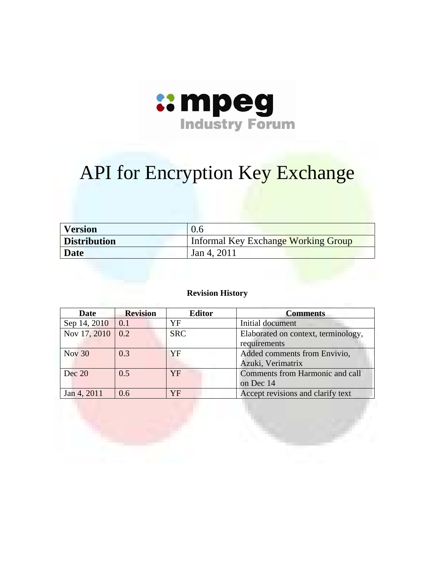

# API for Encryption Key Exchange

| <b>Version</b>      | 0.6                                 |
|---------------------|-------------------------------------|
| <b>Distribution</b> | Informal Key Exchange Working Group |
| Date                | Jan 4, 2011                         |

#### **Revision History**

| <b>Date</b>          | <b>Revision</b>   | <b>Editor</b> | <b>Comments</b>                                     |
|----------------------|-------------------|---------------|-----------------------------------------------------|
| Sep 14, 2010         | $\vert 0.1 \vert$ | YF            | Initial document                                    |
| Nov 17, 2010   $0.2$ |                   | <b>SRC</b>    | Elaborated on context, terminology,<br>requirements |
| <b>Nov 30</b>        | 0.3               | YF            | Added comments from Envivio,<br>Azuki, Verimatrix   |
| Dec 20               | 0.5               | YF            | Comments from Harmonic and call<br>on Dec 14        |
| Jan 4, 2011          | 0.6               | YF            | Accept revisions and clarify text                   |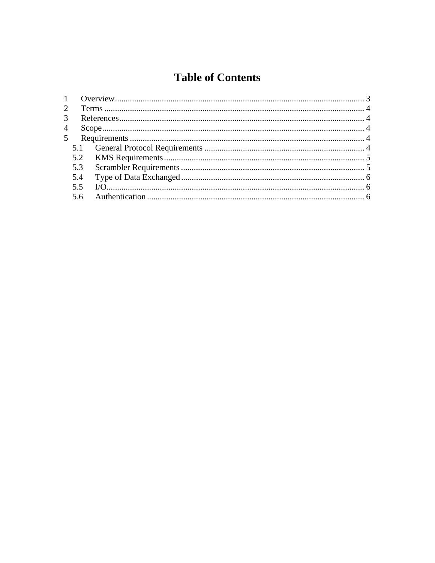# **Table of Contents**

| 3 <sup>7</sup><br>5.2<br>5.3<br>5.4<br>5.5<br>5.6 |  |
|---------------------------------------------------|--|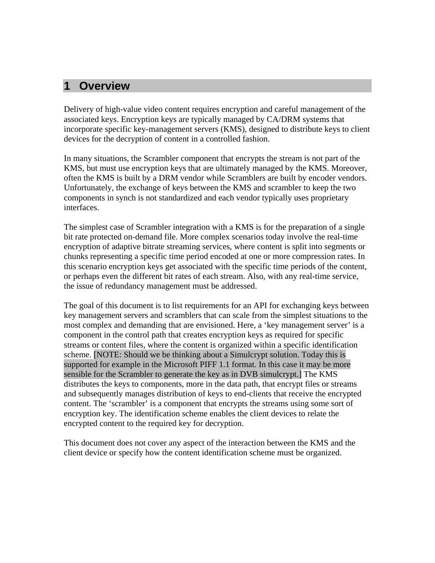#### **1 Overview**

Delivery of high-value video content requires encryption and careful management of the associated keys. Encryption keys are typically managed by CA/DRM systems that incorporate specific key-management servers (KMS), designed to distribute keys to client devices for the decryption of content in a controlled fashion.

In many situations, the Scrambler component that encrypts the stream is not part of the KMS, but must use encryption keys that are ultimately managed by the KMS. Moreover, often the KMS is built by a DRM vendor while Scramblers are built by encoder vendors. Unfortunately, the exchange of keys between the KMS and scrambler to keep the two components in synch is not standardized and each vendor typically uses proprietary interfaces.

The simplest case of Scrambler integration with a KMS is for the preparation of a single bit rate protected on-demand file. More complex scenarios today involve the real-time encryption of adaptive bitrate streaming services, where content is split into segments or chunks representing a specific time period encoded at one or more compression rates. In this scenario encryption keys get associated with the specific time periods of the content, or perhaps even the different bit rates of each stream. Also, with any real-time service, the issue of redundancy management must be addressed.

The goal of this document is to list requirements for an API for exchanging keys between key management servers and scramblers that can scale from the simplest situations to the most complex and demanding that are envisioned. Here, a 'key management server' is a component in the control path that creates encryption keys as required for specific streams or content files, where the content is organized within a specific identification scheme. [NOTE: Should we be thinking about a Simulcrypt solution. Today this is supported for example in the Microsoft PIFF 1.1 format. In this case it may be more sensible for the Scrambler to generate the key as in DVB simulcrypt.] The KMS distributes the keys to components, more in the data path, that encrypt files or streams and subsequently manages distribution of keys to end-clients that receive the encrypted content. The 'scrambler' is a component that encrypts the streams using some sort of encryption key. The identification scheme enables the client devices to relate the encrypted content to the required key for decryption.

This document does not cover any aspect of the interaction between the KMS and the client device or specify how the content identification scheme must be organized.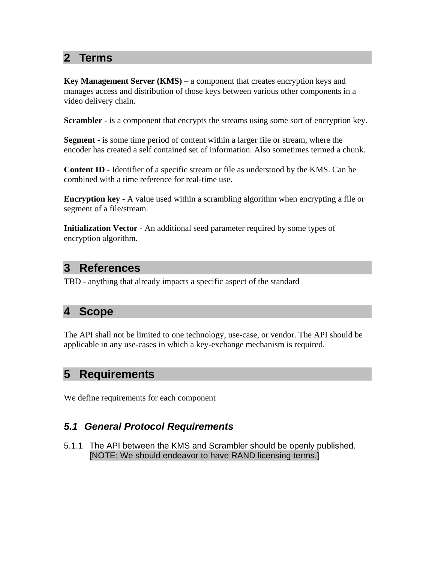# **2 Terms**

**Key Management Server (KMS)** – a component that creates encryption keys and manages access and distribution of those keys between various other components in a video delivery chain.

**Scrambler** - is a component that encrypts the streams using some sort of encryption key.

**Segment** - is some time period of content within a larger file or stream, where the encoder has created a self contained set of information. Also sometimes termed a chunk.

**Content ID** - Identifier of a specific stream or file as understood by the KMS. Can be combined with a time reference for real-time use.

**Encryption key** - A value used within a scrambling algorithm when encrypting a file or segment of a file/stream.

**Initialization Vector** - An additional seed parameter required by some types of encryption algorithm.

#### **3 References**

TBD - anything that already impacts a specific aspect of the standard

# **4 Scope**

The API shall not be limited to one technology, use-case, or vendor. The API should be applicable in any use-cases in which a key-exchange mechanism is required.

### **5 Requirements**

We define requirements for each component

#### *5.1 General Protocol Requirements*

5.1.1 The API between the KMS and Scrambler should be openly published. [NOTE: We should endeavor to have RAND licensing terms.]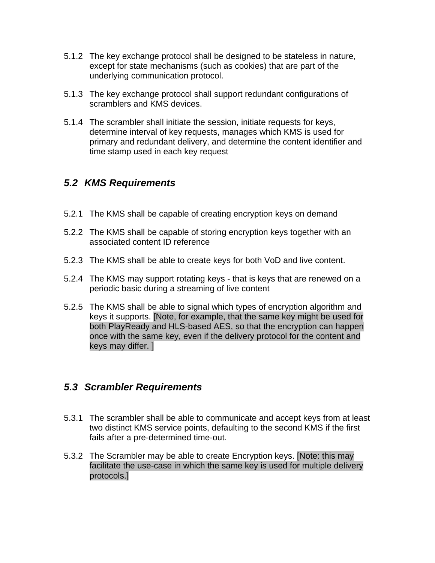- 5.1.2 The key exchange protocol shall be designed to be stateless in nature, except for state mechanisms (such as cookies) that are part of the underlying communication protocol.
- 5.1.3 The key exchange protocol shall support redundant configurations of scramblers and KMS devices.
- 5.1.4 The scrambler shall initiate the session, initiate requests for keys, determine interval of key requests, manages which KMS is used for primary and redundant delivery, and determine the content identifier and time stamp used in each key request

#### *5.2 KMS Requirements*

- 5.2.1 The KMS shall be capable of creating encryption keys on demand
- 5.2.2 The KMS shall be capable of storing encryption keys together with an associated content ID reference
- 5.2.3 The KMS shall be able to create keys for both VoD and live content.
- 5.2.4 The KMS may support rotating keys that is keys that are renewed on a periodic basic during a streaming of live content
- 5.2.5 The KMS shall be able to signal which types of encryption algorithm and keys it supports. [Note, for example, that the same key might be used for both PlayReady and HLS-based AES, so that the encryption can happen once with the same key, even if the delivery protocol for the content and keys may differ. ]

#### *5.3 Scrambler Requirements*

- 5.3.1 The scrambler shall be able to communicate and accept keys from at least two distinct KMS service points, defaulting to the second KMS if the first fails after a pre-determined time-out.
- 5.3.2 The Scrambler may be able to create Encryption keys. [Note: this may facilitate the use-case in which the same key is used for multiple delivery protocols.]